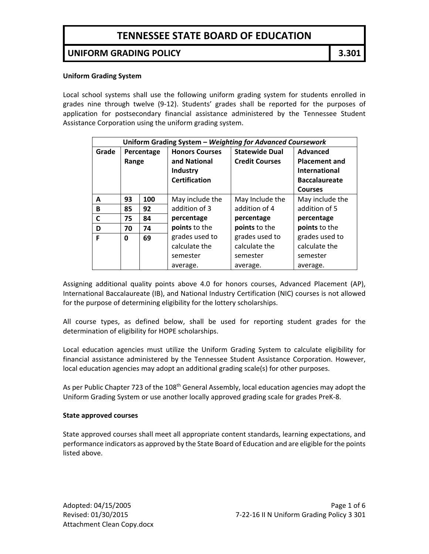#### **UNIFORM GRADING POLICY 3.301**

#### **Uniform Grading System**

Local school systems shall use the following uniform grading system for students enrolled in grades nine through twelve (9‐12). Students' grades shall be reported for the purposes of application for postsecondary financial assistance administered by the Tennessee Student Assistance Corporation using the uniform grading system.

| Uniform Grading System - Weighting for Advanced Coursework |            |     |                       |                       |                      |
|------------------------------------------------------------|------------|-----|-----------------------|-----------------------|----------------------|
| Grade                                                      | Percentage |     | <b>Honors Courses</b> | <b>Statewide Dual</b> | <b>Advanced</b>      |
|                                                            | Range      |     | and National          | <b>Credit Courses</b> | <b>Placement and</b> |
|                                                            |            |     | <b>Industry</b>       |                       | <b>International</b> |
|                                                            |            |     | <b>Certification</b>  |                       | <b>Baccalaureate</b> |
|                                                            |            |     |                       |                       | <b>Courses</b>       |
| А                                                          | 93         | 100 | May include the       | May Include the       | May include the      |
| B                                                          | 85         | 92  | addition of 3         | addition of 4         | addition of 5        |
| C                                                          | 75         | 84  | percentage            | percentage            | percentage           |
| D                                                          | 70         | 74  | points to the         | points to the         | points to the        |
| F                                                          | 0          | 69  | grades used to        | grades used to        | grades used to       |
|                                                            |            |     | calculate the         | calculate the         | calculate the        |
|                                                            |            |     | semester              | semester              | semester             |
|                                                            |            |     | average.              | average.              | average.             |

Assigning additional quality points above 4.0 for honors courses, Advanced Placement (AP), International Baccalaureate (IB), and National Industry Certification (NIC) courses is not allowed for the purpose of determining eligibility for the lottery scholarships.

All course types, as defined below, shall be used for reporting student grades for the determination of eligibility for HOPE scholarships.

Local education agencies must utilize the Uniform Grading System to calculate eligibility for financial assistance administered by the Tennessee Student Assistance Corporation. However, local education agencies may adopt an additional grading scale(s) for other purposes.

As per Public Chapter 723 of the 108<sup>th</sup> General Assembly, local education agencies may adopt the Uniform Grading System or use another locally approved grading scale for grades PreK‐8.

#### **State approved courses**

State approved courses shall meet all appropriate content standards, learning expectations, and performance indicators as approved by the State Board of Education and are eligible for the points listed above.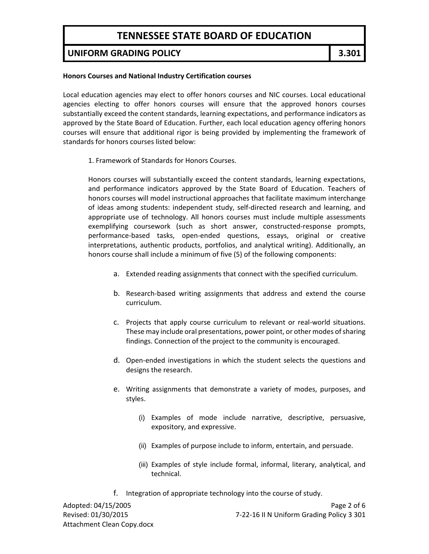### **UNIFORM GRADING POLICY 3.301**

#### **Honors Courses and National Industry Certification courses**

Local education agencies may elect to offer honors courses and NIC courses. Local educational agencies electing to offer honors courses will ensure that the approved honors courses substantially exceed the content standards, learning expectations, and performance indicators as approved by the State Board of Education. Further, each local education agency offering honors courses will ensure that additional rigor is being provided by implementing the framework of standards for honors courses listed below:

1. Framework of Standards for Honors Courses.

Honors courses will substantially exceed the content standards, learning expectations, and performance indicators approved by the State Board of Education. Teachers of honors courses will model instructional approaches that facilitate maximum interchange of ideas among students: independent study, self‐directed research and learning, and appropriate use of technology. All honors courses must include multiple assessments exemplifying coursework (such as short answer, constructed-response prompts, performance‐based tasks, open‐ended questions, essays, original or creative interpretations, authentic products, portfolios, and analytical writing). Additionally, an honors course shall include a minimum of five (5) of the following components:

- a. Extended reading assignments that connect with the specified curriculum.
- b. Research‐based writing assignments that address and extend the course curriculum.
- c. Projects that apply course curriculum to relevant or real‐world situations. These may include oral presentations, power point, or other modes of sharing findings. Connection of the project to the community is encouraged.
- d. Open‐ended investigations in which the student selects the questions and designs the research.
- e. Writing assignments that demonstrate a variety of modes, purposes, and styles.
	- (i) Examples of mode include narrative, descriptive, persuasive, expository, and expressive.
	- (ii) Examples of purpose include to inform, entertain, and persuade.
	- (iii) Examples of style include formal, informal, literary, analytical, and technical.
- f. Integration of appropriate technology into the course of study.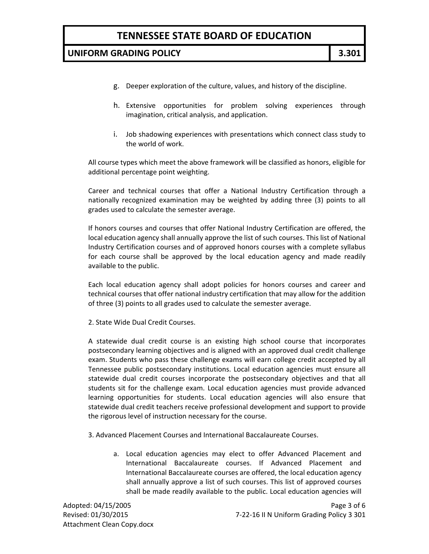### **UNIFORM GRADING POLICY 3.301**

- g. Deeper exploration of the culture, values, and history of the discipline.
- h. Extensive opportunities for problem solving experiences through imagination, critical analysis, and application.
- i. Job shadowing experiences with presentations which connect class study to the world of work.

All course types which meet the above framework will be classified as honors, eligible for additional percentage point weighting.

Career and technical courses that offer a National Industry Certification through a nationally recognized examination may be weighted by adding three (3) points to all grades used to calculate the semester average.

If honors courses and courses that offer National Industry Certification are offered, the local education agency shall annually approve the list of such courses. This list of National Industry Certification courses and of approved honors courses with a complete syllabus for each course shall be approved by the local education agency and made readily available to the public.

Each local education agency shall adopt policies for honors courses and career and technical courses that offer national industry certification that may allow for the addition of three (3) points to all grades used to calculate the semester average.

2. State Wide Dual Credit Courses.

A statewide dual credit course is an existing high school course that incorporates postsecondary learning objectives and is aligned with an approved dual credit challenge exam. Students who pass these challenge exams will earn college credit accepted by all Tennessee public postsecondary institutions. Local education agencies must ensure all statewide dual credit courses incorporate the postsecondary objectives and that all students sit for the challenge exam. Local education agencies must provide advanced learning opportunities for students. Local education agencies will also ensure that statewide dual credit teachers receive professional development and support to provide the rigorous level of instruction necessary for the course.

- 3. Advanced Placement Courses and International Baccalaureate Courses.
	- a. Local education agencies may elect to offer Advanced Placement and International Baccalaureate courses. If Advanced Placement and International Baccalaureate courses are offered, the local education agency shall annually approve a list of such courses. This list of approved courses shall be made readily available to the public. Local education agencies will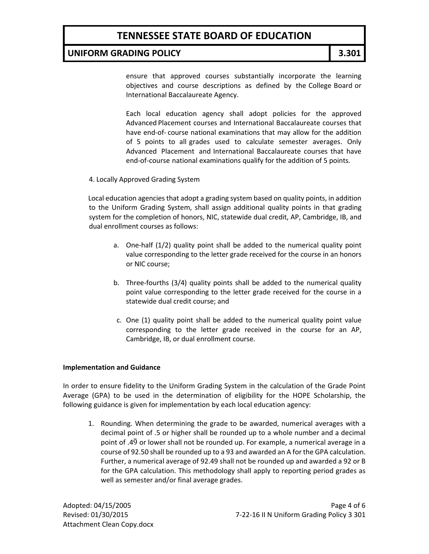### **UNIFORM GRADING POLICY 3.301**

ensure that approved courses substantially incorporate the learning objectives and course descriptions as defined by the College Board or International Baccalaureate Agency.

Each local education agency shall adopt policies for the approved Advanced Placement courses and International Baccalaureate courses that have end‐of‐ course national examinations that may allow for the addition of 5 points to all grades used to calculate semester averages. Only Advanced Placement and International Baccalaureate courses that have end-of-course national examinations qualify for the addition of 5 points.

4. Locally Approved Grading System

Local education agencies that adopt a grading system based on quality points, in addition to the Uniform Grading System, shall assign additional quality points in that grading system for the completion of honors, NIC, statewide dual credit, AP, Cambridge, IB, and dual enrollment courses as follows:

- a. One‐half (1/2) quality point shall be added to the numerical quality point value corresponding to the letter grade received for the course in an honors or NIC course;
- b. Three‐fourths (3/4) quality points shall be added to the numerical quality point value corresponding to the letter grade received for the course in a statewide dual credit course; and
- c. One (1) quality point shall be added to the numerical quality point value corresponding to the letter grade received in the course for an AP, Cambridge, IB, or dual enrollment course.

#### **Implementation and Guidance**

In order to ensure fidelity to the Uniform Grading System in the calculation of the Grade Point Average (GPA) to be used in the determination of eligibility for the HOPE Scholarship, the following guidance is given for implementation by each local education agency:

1. Rounding. When determining the grade to be awarded, numerical averages with a decimal point of .5 or higher shall be rounded up to a whole number and a decimal point of  $.4\overline{9}$  or lower shall not be rounded up. For example, a numerical average in a course of 92.50 shall be rounded up to a 93 and awarded an A for the GPA calculation. Further, a numerical average of 92.49 shall not be rounded up and awarded a 92 or B for the GPA calculation. This methodology shall apply to reporting period grades as well as semester and/or final average grades.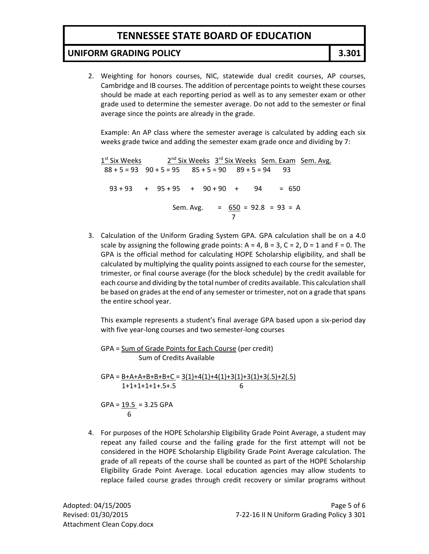## **UNIFORM GRADING POLICY 3.301**

2. Weighting for honors courses, NIC, statewide dual credit courses, AP courses, Cambridge and IB courses. The addition of percentage points to weight these courses should be made at each reporting period as well as to any semester exam or other grade used to determine the semester average. Do not add to the semester or final average since the points are already in the grade.

Example: An AP class where the semester average is calculated by adding each six weeks grade twice and adding the semester exam grade once and dividing by 7:

 $1^{st}$  Six Weeks  $2^{nd}$  Six Weeks  $3^{rd}$  Six Weeks Sem. Exam Sem. Avg.  $88 + 5 = 93$   $90 + 5 = 95$   $85 + 5 = 90$   $89 + 5 = 94$  93  $93 + 93 + 93 + 95 + 95 + 95 + 90 + 90 + 94 = 650$  Sem. Avg. = 650 = 92.8 = 93 = A 7

3. Calculation of the Uniform Grading System GPA. GPA calculation shall be on a 4.0 scale by assigning the following grade points:  $A = 4$ ,  $B = 3$ ,  $C = 2$ ,  $D = 1$  and  $F = 0$ . The GPA is the official method for calculating HOPE Scholarship eligibility, and shall be calculated by multiplying the quality points assigned to each course for the semester, trimester, or final course average (for the block schedule) by the credit available for each course and dividing by the total number of credits available. This calculation shall be based on grades at the end of any semester or trimester, not on a grade that spans the entire school year.

This example represents a student's final average GPA based upon a six‐period day with five year-long courses and two semester-long courses

GPA = Sum of Grade Points for Each Course (per credit) Sum of Credits Available

 $GPA = B+A+A+B+B+B+C = 3(1)+4(1)+4(1)+3(1)+3(1)+3(.5)+2(.5)$  $1+1+1+1+1+0.5+0.5$  6

 $GPA = 19.5 = 3.25$  GPA 6

4. For purposes of the HOPE Scholarship Eligibility Grade Point Average, a student may repeat any failed course and the failing grade for the first attempt will not be considered in the HOPE Scholarship Eligibility Grade Point Average calculation. The grade of all repeats of the course shall be counted as part of the HOPE Scholarship Eligibility Grade Point Average. Local education agencies may allow students to replace failed course grades through credit recovery or similar programs without